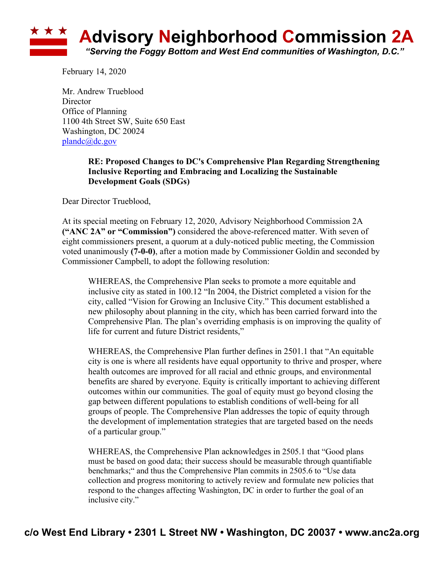

February 14, 2020

Mr. Andrew Trueblood **Director** Office of Planning 1100 4th Street SW, Suite 650 East Washington, DC 20024 plandc@dc.gov

## **RE: Proposed Changes to DC's Comprehensive Plan Regarding Strengthening Inclusive Reporting and Embracing and Localizing the Sustainable Development Goals (SDGs)**

Dear Director Trueblood,

At its special meeting on February 12, 2020, Advisory Neighborhood Commission 2A **("ANC 2A" or "Commission")** considered the above-referenced matter. With seven of eight commissioners present, a quorum at a duly-noticed public meeting, the Commission voted unanimously **(7-0-0)**, after a motion made by Commissioner Goldin and seconded by Commissioner Campbell, to adopt the following resolution:

WHEREAS, the Comprehensive Plan seeks to promote a more equitable and inclusive city as stated in 100.12 "In 2004, the District completed a vision for the city, called "Vision for Growing an Inclusive City." This document established a new philosophy about planning in the city, which has been carried forward into the Comprehensive Plan. The plan's overriding emphasis is on improving the quality of life for current and future District residents,"

WHEREAS, the Comprehensive Plan further defines in 2501.1 that "An equitable city is one is where all residents have equal opportunity to thrive and prosper, where health outcomes are improved for all racial and ethnic groups, and environmental benefits are shared by everyone. Equity is critically important to achieving different outcomes within our communities. The goal of equity must go beyond closing the gap between different populations to establish conditions of well-being for all groups of people. The Comprehensive Plan addresses the topic of equity through the development of implementation strategies that are targeted based on the needs of a particular group."

WHEREAS, the Comprehensive Plan acknowledges in 2505.1 that "Good plans must be based on good data; their success should be measurable through quantifiable benchmarks;" and thus the Comprehensive Plan commits in 2505.6 to "Use data collection and progress monitoring to actively review and formulate new policies that respond to the changes affecting Washington, DC in order to further the goal of an inclusive city."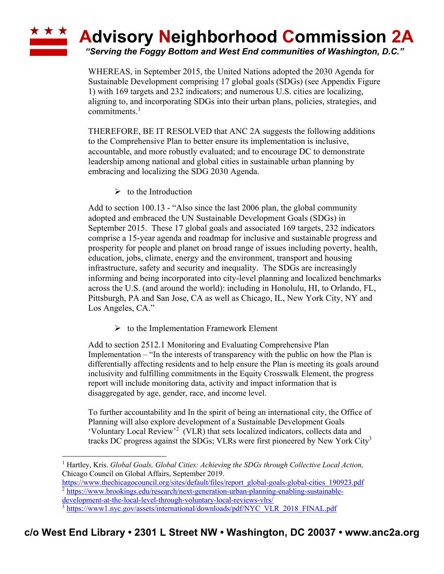## **\* \* \* Advisory Neighborhood Commission 2A**

*"Serving the Foggy Bottom and West End communities of Washington, D.C."*

WHEREAS, in September 2015, the United Nations adopted the 2030 Agenda for Sustainable Development comprising 17 global goals (SDGs) (see Appendix Figure 1) with 169 targets and 232 indicators; and numerous U.S. cities are localizing, aligning to, and incorporating SDGs into their urban plans, policies, strategies, and commitments.1

THEREFORE, BE IT RESOLVED that ANC 2A suggests the following additions to the Comprehensive Plan to better ensure its implementation is inclusive, accountable, and more robustly evaluated; and to encourage DC to demonstrate leadership among national and global cities in sustainable urban planning by embracing and localizing the SDG 2030 Agenda.

 $\triangleright$  to the Introduction

Add to section 100.13 - "Also since the last 2006 plan, the global community adopted and embraced the UN Sustainable Development Goals (SDGs) in September 2015. These 17 global goals and associated 169 targets, 232 indicators comprise a 15-year agenda and roadmap for inclusive and sustainable progress and prosperity for people and planet on broad range of issues including poverty, health, education, jobs, climate, energy and the environment, transport and housing infrastructure, safety and security and inequality. The SDGs are increasingly informing and being incorporated into city-level planning and localized benchmarks across the U.S. (and around the world): including in Honolulu, HI, to Orlando, FL, Pittsburgh, PA and San Jose, CA as well as Chicago, IL, New York City, NY and Los Angeles, CA."

 $\triangleright$  to the Implementation Framework Element

Add to section 2512.1 Monitoring and Evaluating Comprehensive Plan Implementation – "In the interests of transparency with the public on how the Plan is differentially affecting residents and to help ensure the Plan is meeting its goals around inclusivity and fulfilling commitments in the Equity Crosswalk Element, the progress report will include monitoring data, activity and impact information that is disaggregated by age, gender, race, and income level.

To further accountability and In the spirit of being an international city, the Office of Planning will also explore development of a Sustainable Development Goals 'Voluntary Local Review' <sup>2</sup> (VLR) that sets localized indicators, collects data and tracks DC progress against the SDGs; VLRs were first pioneered by New York City<sup>3</sup>

<sup>1</sup> Hartley, Kris. *Global Goals, Global Cities: Achieving the SDGs through Collective Local Action,*  Chicago Council on Global Affairs, September 2019.

https://www.thechicagocouncil.org/sites/default/files/report\_global-goals-global-cities\_190923.pdf <sup>2</sup> https://www.brookings.edu/research/next-generation-urban-planning-enabling-sustainable-

development-at-the-local-level-through-voluntary-local-reviews-vlrs/

<sup>&</sup>lt;sup>3</sup> https://www1.nyc.gov/assets/international/downloads/pdf/NYC\_VLR\_2018\_FINAL.pdf